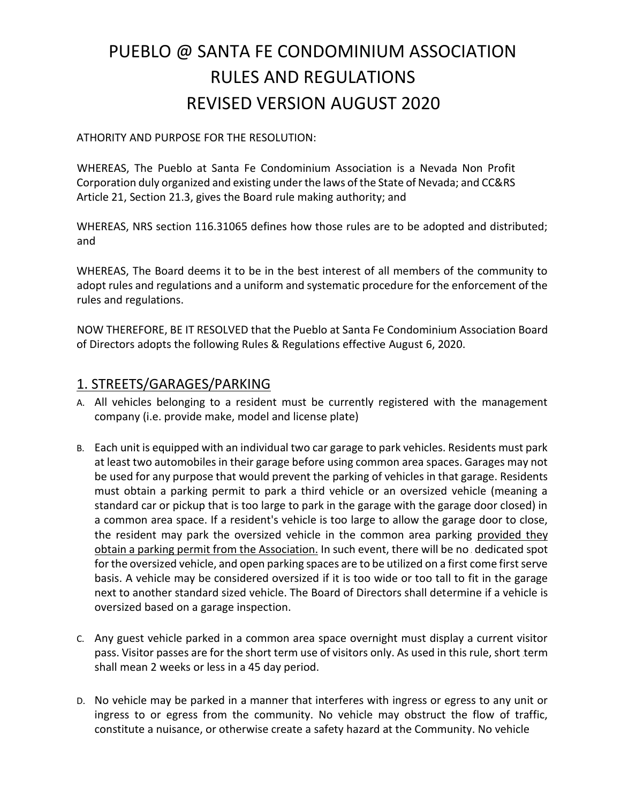# PUEBLO @ SANTA FE CONDOMINIUM ASSOCIATION RULES AND REGULATIONS REVISED VERSION AUGUST 2020

#### ATHORITY AND PURPOSE FOR THE RESOLUTION:

WHEREAS, The Pueblo at Santa Fe Condominium Association is a Nevada Non Profit Corporation duly organized and existing under the laws of the State of Nevada; and CC&RS Article 21, Section 21.3, gives the Board rule making authority; and

WHEREAS, NRS section 116.31065 defines how those rules are to be adopted and distributed; and

WHEREAS, The Board deems it to be in the best interest of all members of the community to adopt rules and regulations and a uniform and systematic procedure for the enforcement of the rules and regulations.

NOW THEREFORE, BE IT RESOLVED that the Pueblo at Santa Fe Condominium Association Board of Directors adopts the following Rules & Regulations effective August 6, 2020.

#### 1. STREETS/GARAGES/PARKING

- A. All vehicles belonging to a resident must be currently registered with the management company (i.e. provide make, model and license plate)
- B. Each unit is equipped with an individual two car garage to park vehicles. Residents must park at least two automobiles in their garage before using common area spaces. Garages may not be used for any purpose that would prevent the parking of vehicles in that garage. Residents must obtain a parking permit to park a third vehicle or an oversized vehicle (meaning a standard car or pickup that is too large to park in the garage with the garage door closed) in a common area space. If a resident's vehicle is too large to allow the garage door to close, the resident may park the oversized vehicle in the common area parking provided they obtain a parking permit from the Association. In such event, there will be no dedicated spot for the oversized vehicle, and open parking spaces are to be utilized on a first come first serve basis. A vehicle may be considered oversized if it is too wide or too tall to fit in the garage next to another standard sized vehicle. The Board of Directors shall determine if a vehicle is oversized based on a garage inspection.
- C. Any guest vehicle parked in a common area space overnight must display a current visitor pass. Visitor passes are for the short term use of visitors only. As used in this rule, short term shall mean 2 weeks or less in a 45 day period.
- D. No vehicle may be parked in a manner that interferes with ingress or egress to any unit or ingress to or egress from the community. No vehicle may obstruct the flow of traffic, constitute a nuisance, or otherwise create a safety hazard at the Community. No vehicle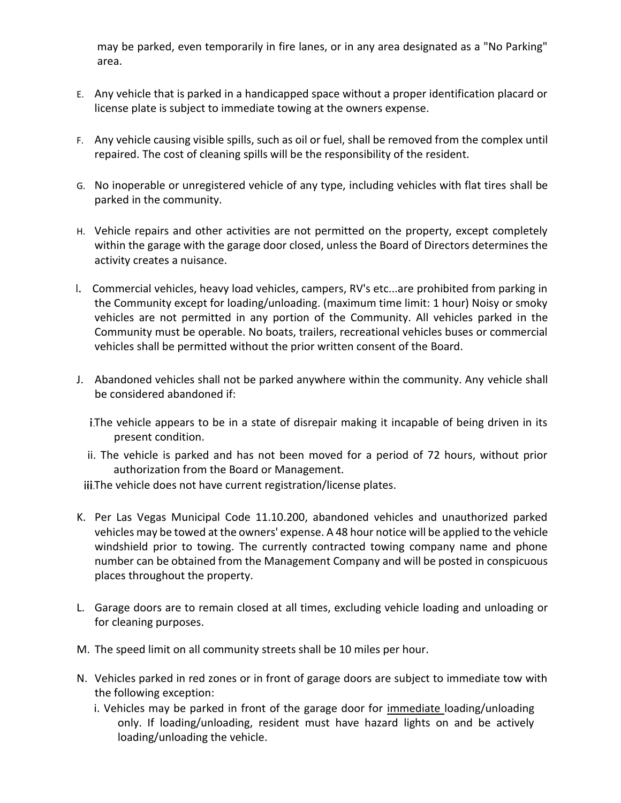may be parked, even temporarily in fire lanes, or in any area designated as a "No Parking" area.

- E. Any vehicle that is parked in a handicapped space without a proper identification placard or license plate is subject to immediate towing at the owners expense.
- F. Any vehicle causing visible spills, such as oil or fuel, shall be removed from the complex until repaired. The cost of cleaning spills will be the responsibility of the resident.
- G. No inoperable or unregistered vehicle of any type, including vehicles with flat tires shall be parked in the community.
- H. Vehicle repairs and other activities are not permitted on the property, except completely within the garage with the garage door closed, unless the Board of Directors determines the activity creates a nuisance.
- Commercial vehicles, heavy load vehicles, campers, RV's etc...are prohibited from parking in the Community except for loading/unloading. (maximum time limit: 1 hour) Noisy or smoky vehicles are not permitted in any portion of the Community. All vehicles parked in the Community must be operable. No boats, trailers, recreational vehicles buses or commercial vehicles shall be permitted without the prior written consent of the Board.
- J. Abandoned vehicles shall not be parked anywhere within the community. Any vehicle shall be considered abandoned if:
	- i. The vehicle appears to be in a state of disrepair making it incapable of being driven in its present condition.
	- ii. The vehicle is parked and has not been moved for a period of 72 hours, without prior authorization from the Board or Management.

iii. The vehicle does not have current registration/license plates.

- K. Per Las Vegas Municipal Code 11.10.200, abandoned vehicles and unauthorized parked vehicles may be towed at the owners' expense. A 48 hour notice will be applied to the vehicle windshield prior to towing. The currently contracted towing company name and phone number can be obtained from the Management Company and will be posted in conspicuous places throughout the property.
- L. Garage doors are to remain closed at all times, excluding vehicle loading and unloading or for cleaning purposes.
- M. The speed limit on all community streets shall be 10 miles per hour.
- N. Vehicles parked in red zones or in front of garage doors are subject to immediate tow with the following exception:
	- i. Vehicles may be parked in front of the garage door for immediate loading/unloading only. If loading/unloading, resident must have hazard lights on and be actively loading/unloading the vehicle.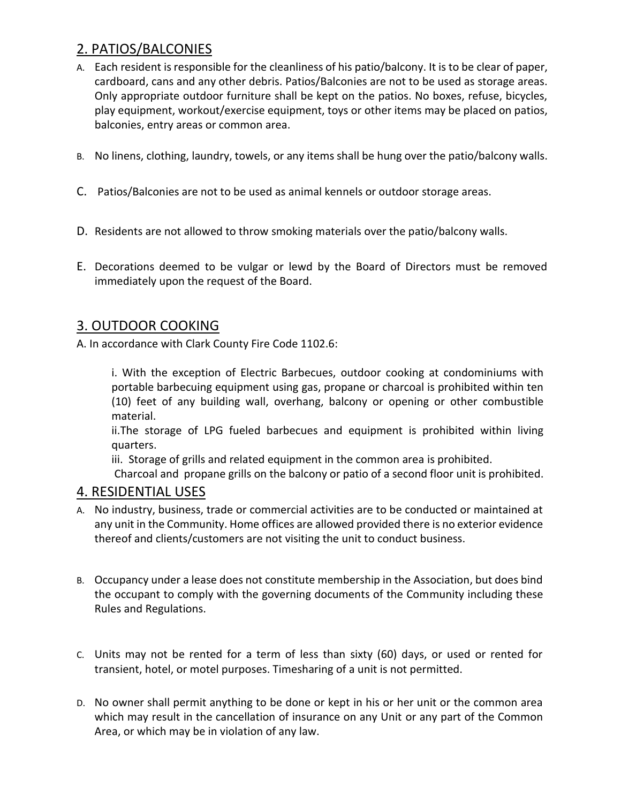## 2. PATIOS/BALCONIES

- A. Each resident is responsible for the cleanliness of his patio/balcony. It is to be clear of paper, cardboard, cans and any other debris. Patios/Balconies are not to be used as storage areas. Only appropriate outdoor furniture shall be kept on the patios. No boxes, refuse, bicycles, play equipment, workout/exercise equipment, toys or other items may be placed on patios, balconies, entry areas or common area.
- B. No linens, clothing, laundry, towels, or any items shall be hung over the patio/balcony walls.
- C. Patios/Balconies are not to be used as animal kennels or outdoor storage areas.
- D. Residents are not allowed to throw smoking materials over the patio/balcony walls.
- E. Decorations deemed to be vulgar or lewd by the Board of Directors must be removed immediately upon the request of the Board.

#### 3. OUTDOOR COOKING

A. In accordance with Clark County Fire Code 1102.6:

i. With the exception of Electric Barbecues, outdoor cooking at condominiums with portable barbecuing equipment using gas, propane or charcoal is prohibited within ten (10) feet of any building wall, overhang, balcony or opening or other combustible material.

ii.The storage of LPG fueled barbecues and equipment is prohibited within living quarters.

iii. Storage of grills and related equipment in the common area is prohibited.

Charcoal and propane grills on the balcony or patio of a second floor unit is prohibited.

#### 4. RESIDENTIAL USES

- A. No industry, business, trade or commercial activities are to be conducted or maintained at any unit in the Community. Home offices are allowed provided there is no exterior evidence thereof and clients/customers are not visiting the unit to conduct business.
- B. Occupancy under a lease does not constitute membership in the Association, but does bind the occupant to comply with the governing documents of the Community including these Rules and Regulations.
- C. Units may not be rented for a term of less than sixty (60) days, or used or rented for transient, hotel, or motel purposes. Timesharing of a unit is not permitted.
- D. No owner shall permit anything to be done or kept in his or her unit or the common area which may result in the cancellation of insurance on any Unit or any part of the Common Area, or which may be in violation of any law.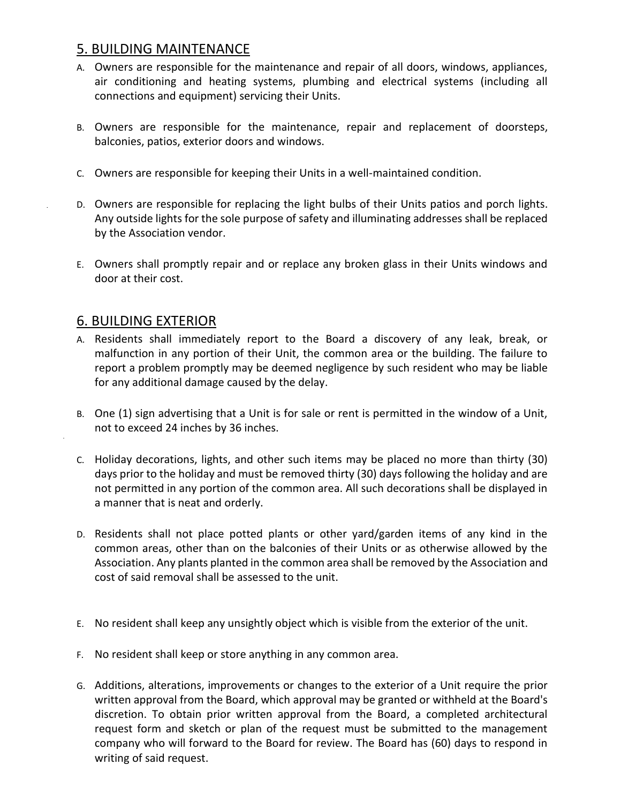## 5. BUILDING MAINTENANCE

- A. Owners are responsible for the maintenance and repair of all doors, windows, appliances, air conditioning and heating systems, plumbing and electrical systems (including all connections and equipment) servicing their Units.
- B. Owners are responsible for the maintenance, repair and replacement of doorsteps, balconies, patios, exterior doors and windows.
- C. Owners are responsible for keeping their Units in a well-maintained condition.
- D. Owners are responsible for replacing the light bulbs of their Units patios and porch lights. Any outside lights for the sole purpose of safety and illuminating addresses shall be replaced by the Association vendor.
- E. Owners shall promptly repair and or replace any broken glass in their Units windows and door at their cost.

#### 6. BUILDING EXTERIOR

- A. Residents shall immediately report to the Board a discovery of any leak, break, or malfunction in any portion of their Unit, the common area or the building. The failure to report a problem promptly may be deemed negligence by such resident who may be liable for any additional damage caused by the delay.
- B. One (1) sign advertising that a Unit is for sale or rent is permitted in the window of a Unit, not to exceed 24 inches by 36 inches.
- C. Holiday decorations, lights, and other such items may be placed no more than thirty (30) days prior to the holiday and must be removed thirty (30) days following the holiday and are not permitted in any portion of the common area. All such decorations shall be displayed in a manner that is neat and orderly.
- D. Residents shall not place potted plants or other yard/garden items of any kind in the common areas, other than on the balconies of their Units or as otherwise allowed by the Association. Any plants planted in the common area shall be removed by the Association and cost of said removal shall be assessed to the unit.
- E. No resident shall keep any unsightly object which is visible from the exterior of the unit.
- F. No resident shall keep or store anything in any common area.
- G. Additions, alterations, improvements or changes to the exterior of a Unit require the prior written approval from the Board, which approval may be granted or withheld at the Board's discretion. To obtain prior written approval from the Board, a completed architectural request form and sketch or plan of the request must be submitted to the management company who will forward to the Board for review. The Board has (60) days to respond in writing of said request.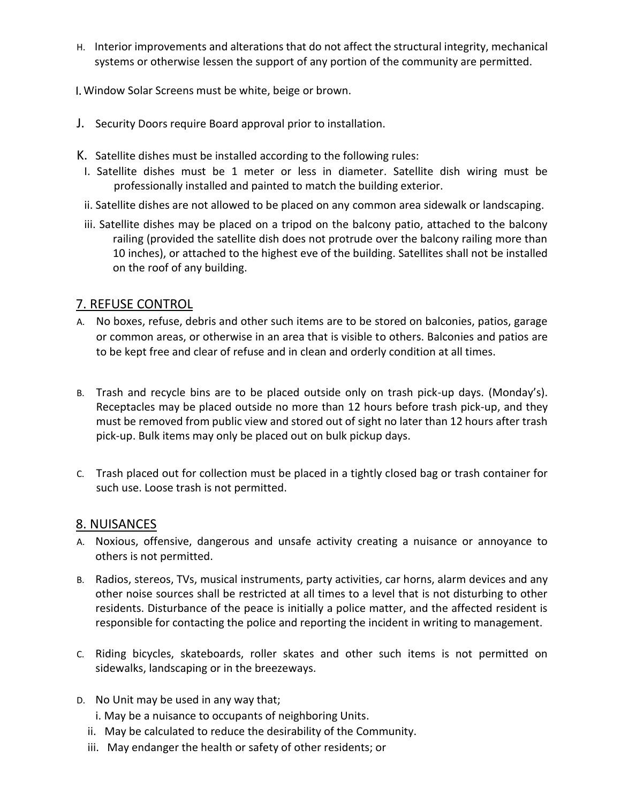H. Interior improvements and alterations that do not affect the structural integrity, mechanical systems or otherwise lessen the support of any portion of the community are permitted.

Window Solar Screens must be white, beige or brown.

- J. Security Doors require Board approval prior to installation.
- K. Satellite dishes must be installed according to the following rules:
- I. Satellite dishes must be 1 meter or less in diameter. Satellite dish wiring must be professionally installed and painted to match the building exterior.
- ii. Satellite dishes are not allowed to be placed on any common area sidewalk or landscaping.
- iii. Satellite dishes may be placed on a tripod on the balcony patio, attached to the balcony railing (provided the satellite dish does not protrude over the balcony railing more than 10 inches), or attached to the highest eve of the building. Satellites shall not be installed on the roof of any building.

## 7. REFUSE CONTROL

- A. No boxes, refuse, debris and other such items are to be stored on balconies, patios, garage or common areas, or otherwise in an area that is visible to others. Balconies and patios are to be kept free and clear of refuse and in clean and orderly condition at all times.
- B. Trash and recycle bins are to be placed outside only on trash pick-up days. (Monday's). Receptacles may be placed outside no more than 12 hours before trash pick-up, and they must be removed from public view and stored out of sight no later than 12 hours after trash pick-up. Bulk items may only be placed out on bulk pickup days.
- C. Trash placed out for collection must be placed in a tightly closed bag or trash container for such use. Loose trash is not permitted.

#### 8. NUISANCES

- A. Noxious, offensive, dangerous and unsafe activity creating a nuisance or annoyance to others is not permitted.
- B. Radios, stereos, TVs, musical instruments, party activities, car horns, alarm devices and any other noise sources shall be restricted at all times to a level that is not disturbing to other residents. Disturbance of the peace is initially a police matter, and the affected resident is responsible for contacting the police and reporting the incident in writing to management.
- C. Riding bicycles, skateboards, roller skates and other such items is not permitted on sidewalks, landscaping or in the breezeways.
- D. No Unit may be used in any way that;
	- i. May be a nuisance to occupants of neighboring Units.
	- ii. May be calculated to reduce the desirability of the Community.
	- iii. May endanger the health or safety of other residents; or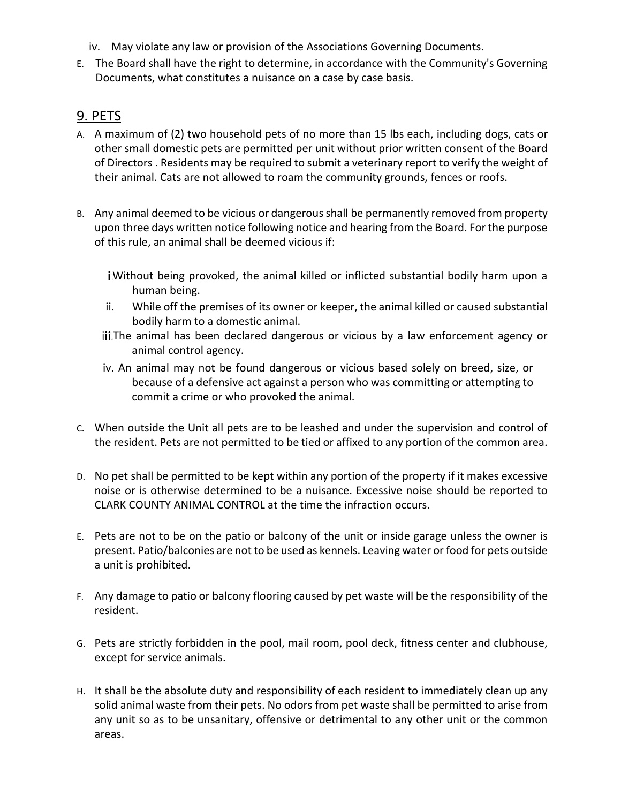- iv. May violate any law or provision of the Associations Governing Documents.
- E. The Board shall have the right to determine, in accordance with the Community's Governing Documents, what constitutes a nuisance on a case by case basis.

## 9. PETS

- A. A maximum of (2) two household pets of no more than 15 lbs each, including dogs, cats or other small domestic pets are permitted per unit without prior written consent of the Board of Directors . Residents may be required to submit a veterinary report to verify the weight of their animal. Cats are not allowed to roam the community grounds, fences or roofs.
- B. Any animal deemed to be vicious or dangerous shall be permanently removed from property upon three days written notice following notice and hearing from the Board. For the purpose of this rule, an animal shall be deemed vicious if:
	- Without being provoked, the animal killed or inflicted substantial bodily harm upon a human being.
	- ii. While off the premises of its owner or keeper, the animal killed or caused substantial bodily harm to a domestic animal.
	- iii. The animal has been declared dangerous or vicious by a law enforcement agency or animal control agency.
	- iv. An animal may not be found dangerous or vicious based solely on breed, size, or because of a defensive act against a person who was committing or attempting to commit a crime or who provoked the animal.
- C. When outside the Unit all pets are to be leashed and under the supervision and control of the resident. Pets are not permitted to be tied or affixed to any portion of the common area.
- D. No pet shall be permitted to be kept within any portion of the property if it makes excessive noise or is otherwise determined to be a nuisance. Excessive noise should be reported to CLARK COUNTY ANIMAL CONTROL at the time the infraction occurs.
- E. Pets are not to be on the patio or balcony of the unit or inside garage unless the owner is present. Patio/balconies are not to be used as kennels. Leaving water or food for pets outside a unit is prohibited.
- F. Any damage to patio or balcony flooring caused by pet waste will be the responsibility of the resident.
- G. Pets are strictly forbidden in the pool, mail room, pool deck, fitness center and clubhouse, except for service animals.
- H. It shall be the absolute duty and responsibility of each resident to immediately clean up any solid animal waste from their pets. No odors from pet waste shall be permitted to arise from any unit so as to be unsanitary, offensive or detrimental to any other unit or the common areas.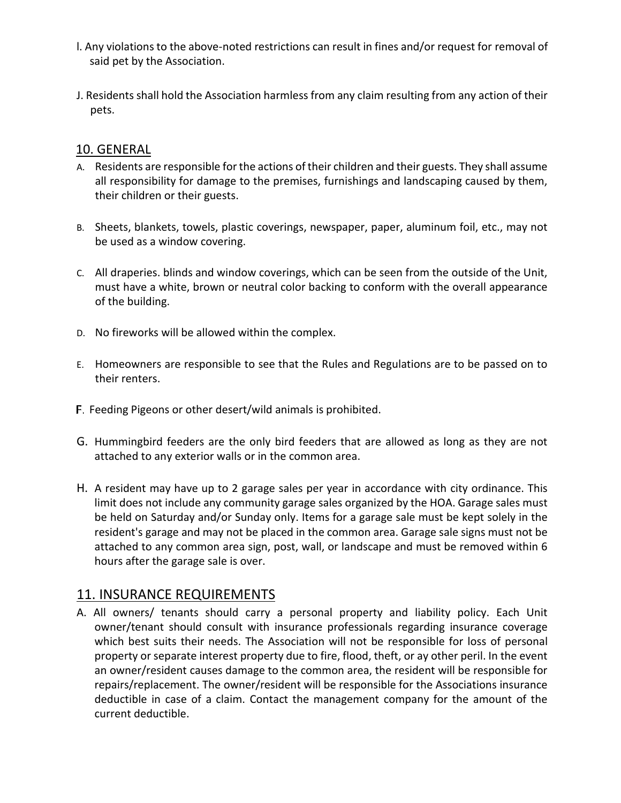- l. Any violations to the above-noted restrictions can result in fines and/or request for removal of said pet by the Association.
- J. Residents shall hold the Association harmless from any claim resulting from any action of their pets.

#### 10. GENERAL

- A. Residents are responsible for the actions of their children and their guests. They shall assume all responsibility for damage to the premises, furnishings and landscaping caused by them, their children or their guests.
- B. Sheets, blankets, towels, plastic coverings, newspaper, paper, aluminum foil, etc., may not be used as a window covering.
- C. All draperies. blinds and window coverings, which can be seen from the outside of the Unit, must have a white, brown or neutral color backing to conform with the overall appearance of the building.
- D. No fireworks will be allowed within the complex.
- E. Homeowners are responsible to see that the Rules and Regulations are to be passed on to their renters.
- F. Feeding Pigeons or other desert/wild animals is prohibited.
- G. Hummingbird feeders are the only bird feeders that are allowed as long as they are not attached to any exterior walls or in the common area.
- H. A resident may have up to 2 garage sales per year in accordance with city ordinance. This limit does not include any community garage sales organized by the HOA. Garage sales must be held on Saturday and/or Sunday only. Items for a garage sale must be kept solely in the resident's garage and may not be placed in the common area. Garage sale signs must not be attached to any common area sign, post, wall, or landscape and must be removed within 6 hours after the garage sale is over.

## 11. INSURANCE REQUIREMENTS

A. All owners/ tenants should carry a personal property and liability policy. Each Unit owner/tenant should consult with insurance professionals regarding insurance coverage which best suits their needs. The Association will not be responsible for loss of personal property or separate interest property due to fire, flood, theft, or ay other peril. In the event an owner/resident causes damage to the common area, the resident will be responsible for repairs/replacement. The owner/resident will be responsible for the Associations insurance deductible in case of a claim. Contact the management company for the amount of the current deductible.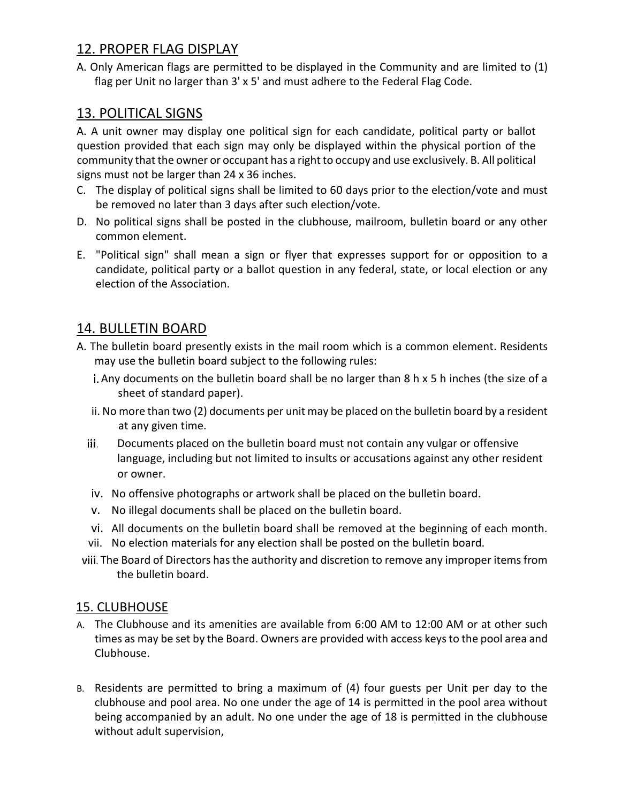## 12. PROPER FLAG DISPLAY

A. Only American flags are permitted to be displayed in the Community and are limited to (1) flag per Unit no larger than 3' x 5' and must adhere to the Federal Flag Code.

# 13. POLITICAL SIGNS

A. A unit owner may display one political sign for each candidate, political party or ballot question provided that each sign may only be displayed within the physical portion of the community that the owner or occupant has a right to occupy and use exclusively. B. All political signs must not be larger than 24 x 36 inches.

- C. The display of political signs shall be limited to 60 days prior to the election/vote and must be removed no later than 3 days after such election/vote.
- D. No political signs shall be posted in the clubhouse, mailroom, bulletin board or any other common element.
- E. "Political sign" shall mean a sign or flyer that expresses support for or opposition to a candidate, political party or a ballot question in any federal, state, or local election or any election of the Association.

## 14. BULLETIN BOARD

- A. The bulletin board presently exists in the mail room which is a common element. Residents may use the bulletin board subject to the following rules:
	- i. Any documents on the bulletin board shall be no larger than 8 h x 5 h inches (the size of a sheet of standard paper).
	- ii. No more than two (2) documents per unit may be placed on the bulletin board by a resident at any given time.
	- iii. Documents placed on the bulletin board must not contain any vulgar or offensive language, including but not limited to insults or accusations against any other resident or owner.
	- iv. No offensive photographs or artwork shall be placed on the bulletin board.
	- v. No illegal documents shall be placed on the bulletin board.
	- vi. All documents on the bulletin board shall be removed at the beginning of each month.
	- vii. No election materials for any election shall be posted on the bulletin board.
- viii. The Board of Directors has the authority and discretion to remove any improper items from the bulletin board.

## 15. CLUBHOUSE

- A. The Clubhouse and its amenities are available from 6:00 AM to 12:00 AM or at other such times as may be set by the Board. Owners are provided with access keys to the pool area and Clubhouse.
- B. Residents are permitted to bring a maximum of (4) four guests per Unit per day to the clubhouse and pool area. No one under the age of 14 is permitted in the pool area without being accompanied by an adult. No one under the age of 18 is permitted in the clubhouse without adult supervision,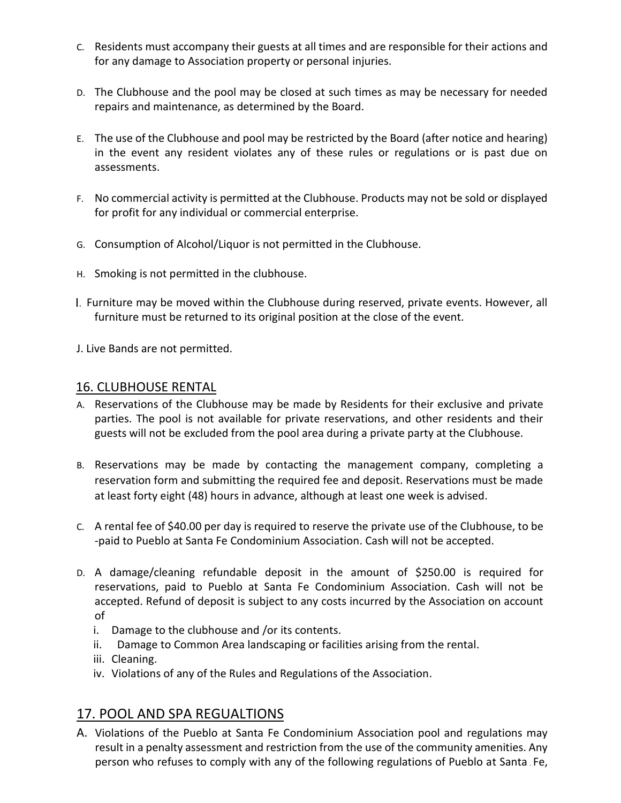- C. Residents must accompany their guests at all times and are responsible for their actions and for any damage to Association property or personal injuries.
- D. The Clubhouse and the pool may be closed at such times as may be necessary for needed repairs and maintenance, as determined by the Board.
- E. The use of the Clubhouse and pool may be restricted by the Board (after notice and hearing) in the event any resident violates any of these rules or regulations or is past due on assessments.
- F. No commercial activity is permitted at the Clubhouse. Products may not be sold or displayed for profit for any individual or commercial enterprise.
- G. Consumption of Alcohol/Liquor is not permitted in the Clubhouse.
- H. Smoking is not permitted in the clubhouse.
- Furniture may be moved within the Clubhouse during reserved, private events. However, all furniture must be returned to its original position at the close of the event.
- J. Live Bands are not permitted.

#### 16. CLUBHOUSE RENTAL

- A. Reservations of the Clubhouse may be made by Residents for their exclusive and private parties. The pool is not available for private reservations, and other residents and their guests will not be excluded from the pool area during a private party at the Clubhouse.
- B. Reservations may be made by contacting the management company, completing a reservation form and submitting the required fee and deposit. Reservations must be made at least forty eight (48) hours in advance, although at least one week is advised.
- C. A rental fee of \$40.00 per day is required to reserve the private use of the Clubhouse, to be -paid to Pueblo at Santa Fe Condominium Association. Cash will not be accepted.
- D. A damage/cleaning refundable deposit in the amount of \$250.00 is required for reservations, paid to Pueblo at Santa Fe Condominium Association. Cash will not be accepted. Refund of deposit is subject to any costs incurred by the Association on account of
	- i. Damage to the clubhouse and /or its contents.
	- ii. Damage to Common Area landscaping or facilities arising from the rental.
	- iii. Cleaning.
	- iv. Violations of any of the Rules and Regulations of the Association.

# 17. POOL AND SPA REGUALTIONS

A. Violations of the Pueblo at Santa Fe Condominium Association pool and regulations may result in a penalty assessment and restriction from the use of the community amenities. Any person who refuses to comply with any of the following regulations of Pueblo at Santa Fe,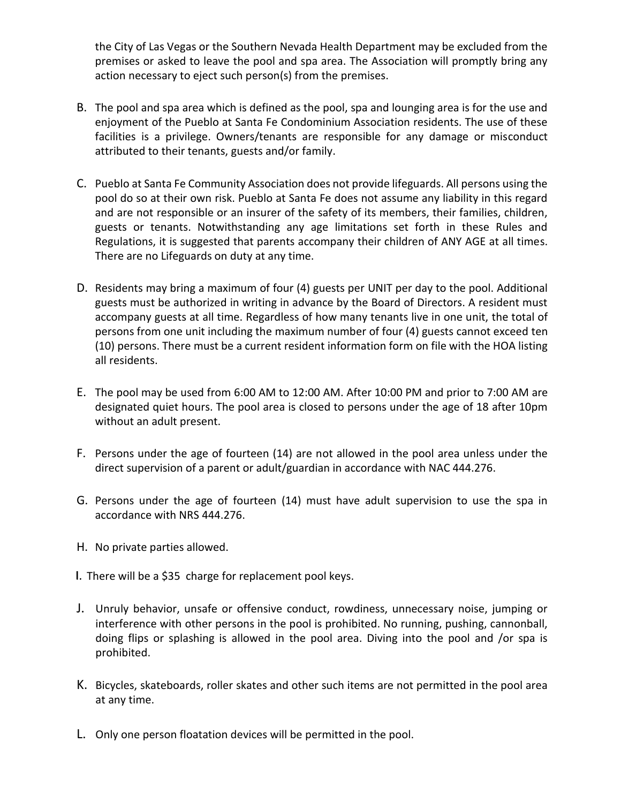the City of Las Vegas or the Southern Nevada Health Department may be excluded from the premises or asked to leave the pool and spa area. The Association will promptly bring any action necessary to eject such person(s) from the premises.

- B. The pool and spa area which is defined as the pool, spa and lounging area is for the use and enjoyment of the Pueblo at Santa Fe Condominium Association residents. The use of these facilities is a privilege. Owners/tenants are responsible for any damage or misconduct attributed to their tenants, guests and/or family.
- C. Pueblo at Santa Fe Community Association does not provide lifeguards. All persons using the pool do so at their own risk. Pueblo at Santa Fe does not assume any liability in this regard and are not responsible or an insurer of the safety of its members, their families, children, guests or tenants. Notwithstanding any age limitations set forth in these Rules and Regulations, it is suggested that parents accompany their children of ANY AGE at all times. There are no Lifeguards on duty at any time.
- D. Residents may bring a maximum of four (4) guests per UNIT per day to the pool. Additional guests must be authorized in writing in advance by the Board of Directors. A resident must accompany guests at all time. Regardless of how many tenants live in one unit, the total of persons from one unit including the maximum number of four (4) guests cannot exceed ten (10) persons. There must be a current resident information form on file with the HOA listing all residents.
- E. The pool may be used from 6:00 AM to 12:00 AM. After 10:00 PM and prior to 7:00 AM are designated quiet hours. The pool area is closed to persons under the age of 18 after 10pm without an adult present.
- F. Persons under the age of fourteen (14) are not allowed in the pool area unless under the direct supervision of a parent or adult/guardian in accordance with NAC 444.276.
- G. Persons under the age of fourteen (14) must have adult supervision to use the spa in accordance with NRS 444.276.
- H. No private parties allowed.
- I. There will be a \$35 charge for replacement pool keys.
- J. Unruly behavior, unsafe or offensive conduct, rowdiness, unnecessary noise, jumping or interference with other persons in the pool is prohibited. No running, pushing, cannonball, doing flips or splashing is allowed in the pool area. Diving into the pool and /or spa is prohibited.
- K. Bicycles, skateboards, roller skates and other such items are not permitted in the pool area at any time.
- L. Only one person floatation devices will be permitted in the pool.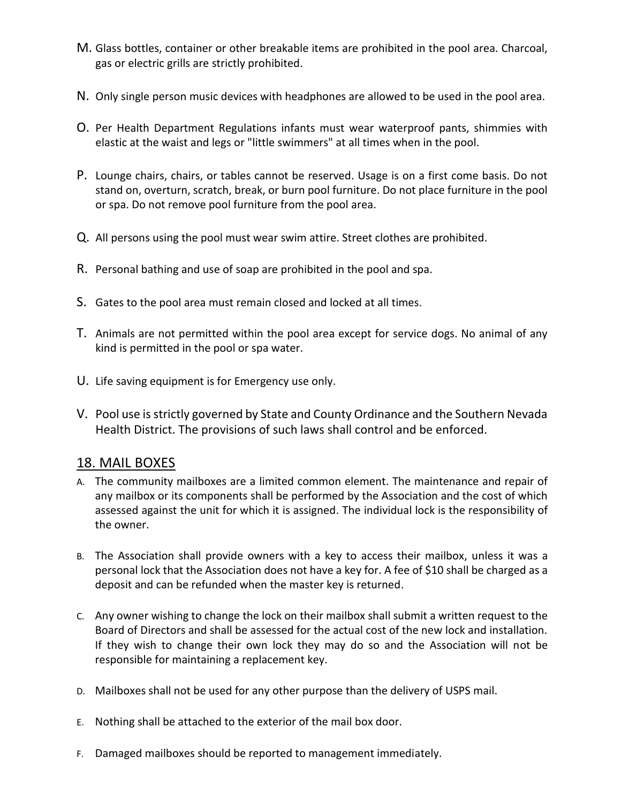- M. Glass bottles, container or other breakable items are prohibited in the pool area. Charcoal, gas or electric grills are strictly prohibited.
- N. Only single person music devices with headphones are allowed to be used in the pool area.
- O. Per Health Department Regulations infants must wear waterproof pants, shimmies with elastic at the waist and legs or "little swimmers" at all times when in the pool.
- P. Lounge chairs, chairs, or tables cannot be reserved. Usage is on a first come basis. Do not stand on, overturn, scratch, break, or burn pool furniture. Do not place furniture in the pool or spa. Do not remove pool furniture from the pool area.
- Q. All persons using the pool must wear swim attire. Street clothes are prohibited.
- R. Personal bathing and use of soap are prohibited in the pool and spa.
- S. Gates to the pool area must remain closed and locked at all times.
- T. Animals are not permitted within the pool area except for service dogs. No animal of any kind is permitted in the pool or spa water.
- U. Life saving equipment is for Emergency use only.
- V. Pool use is strictly governed by State and County Ordinance and the Southern Nevada Health District. The provisions of such laws shall control and be enforced.

#### 18. MAIL BOXES

- A. The community mailboxes are a limited common element. The maintenance and repair of any mailbox or its components shall be performed by the Association and the cost of which assessed against the unit for which it is assigned. The individual lock is the responsibility of the owner.
- B. The Association shall provide owners with a key to access their mailbox, unless it was a personal lock that the Association does not have a key for. A fee of \$10 shall be charged as a deposit and can be refunded when the master key is returned.
- C. Any owner wishing to change the lock on their mailbox shall submit a written request to the Board of Directors and shall be assessed for the actual cost of the new lock and installation. If they wish to change their own lock they may do so and the Association will not be responsible for maintaining a replacement key.
- D. Mailboxes shall not be used for any other purpose than the delivery of USPS mail.
- E. Nothing shall be attached to the exterior of the mail box door.
- F. Damaged mailboxes should be reported to management immediately.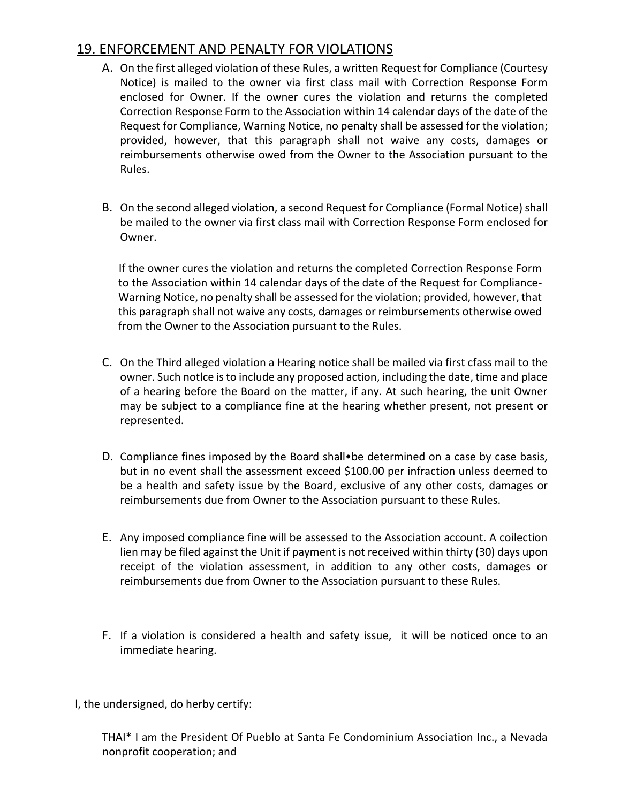## 19. ENFORCEMENT AND PENALTY FOR VIOLATIONS

- A. On the first alleged violation of these Rules, a written Request for Compliance (Courtesy Notice) is mailed to the owner via first class mail with Correction Response Form enclosed for Owner. If the owner cures the violation and returns the completed Correction Response Form to the Association within 14 calendar days of the date of the Request for Compliance, Warning Notice, no penalty shall be assessed for the violation; provided, however, that this paragraph shall not waive any costs, damages or reimbursements otherwise owed from the Owner to the Association pursuant to the Rules.
- B. On the second alleged violation, a second Request for Compliance (Formal Notice) shall be mailed to the owner via first class mail with Correction Response Form enclosed for Owner.

If the owner cures the violation and returns the completed Correction Response Form to the Association within 14 calendar days of the date of the Request for Compliance-Warning Notice, no penalty shall be assessed for the violation; provided, however, that this paragraph shall not waive any costs, damages or reimbursements otherwise owed from the Owner to the Association pursuant to the Rules.

- C. On the Third alleged violation a Hearing notice shall be mailed via first cfass mail to the owner. Such notlce is to include any proposed action, including the date, time and place of a hearing before the Board on the matter, if any. At such hearing, the unit Owner may be subject to a compliance fine at the hearing whether present, not present or represented.
- D. Compliance fines imposed by the Board shall•be determined on a case by case basis, but in no event shall the assessment exceed \$100.00 per infraction unless deemed to be a health and safety issue by the Board, exclusive of any other costs, damages or reimbursements due from Owner to the Association pursuant to these Rules.
- E. Any imposed compliance fine will be assessed to the Association account. A coilection lien may be filed against the Unit if payment is not received within thirty (30) days upon receipt of the violation assessment, in addition to any other costs, damages or reimbursements due from Owner to the Association pursuant to these Rules.
- F. If a violation is considered a health and safety issue, it will be noticed once to an immediate hearing.
- l, the undersigned, do herby certify:

THAI\* I am the President Of Pueblo at Santa Fe Condominium Association Inc., a Nevada nonprofit cooperation; and